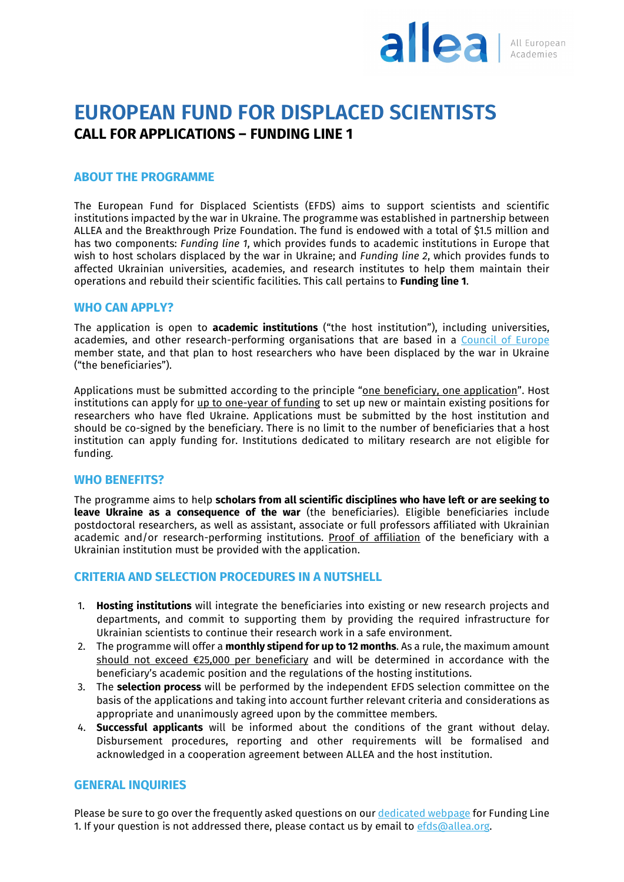

## **EUROPEAN FUND FOR DISPLACED SCIENTISTS CALL FOR APPLICATIONS – FUNDING LINE 1**

#### **ABOUT THE PROGRAMME**

The European Fund for Displaced Scientists (EFDS) aims to support scientists and scientific institutions impacted by the war in Ukraine. The programme was established in partnership between ALLEA and the Breakthrough Prize Foundation. The fund is endowed with a total of \$1.5 million and has two components: *Funding line 1*, which provides funds to academic institutions in Europe that wish to host scholars displaced by the war in Ukraine; and *Funding line 2*, which provides funds to affected Ukrainian universities, academies, and research institutes to help them maintain their operations and rebuild their scientific facilities. This call pertains to **Funding line 1**.

#### **WHO CAN APPLY?**

The application is open to **academic institutions** ("the host institution"), including universities, academies, and other research-performing organisations that are based in a [Council of Europe](https://www.coe.int/en/web/portal/47-members-states) member state, and that plan to host researchers who have been displaced by the war in Ukraine ("the beneficiaries").

Applications must be submitted according to the principle "one beneficiary, one application". Host institutions can apply for up to one-year of funding to set up new or maintain existing positions for researchers who have fled Ukraine. Applications must be submitted by the host institution and should be co-signed by the beneficiary. There is no limit to the number of beneficiaries that a host institution can apply funding for. Institutions dedicated to military research are not eligible for funding.

#### **WHO BENEFITS?**

The programme aims to help **scholars from all scientific disciplines who have left or are seeking to leave Ukraine as a consequence of the war** (the beneficiaries). Eligible beneficiaries include postdoctoral researchers, as well as assistant, associate or full professors affiliated with Ukrainian academic and/or research-performing institutions. Proof of affiliation of the beneficiary with a Ukrainian institution must be provided with the application.

#### **CRITERIA AND SELECTION PROCEDURES IN A NUTSHELL**

- 1. **Hosting institutions** will integrate the beneficiaries into existing or new research projects and departments, and commit to supporting them by providing the required infrastructure for Ukrainian scientists to continue their research work in a safe environment.
- 2. The programme will offer a **monthly stipend for up to 12 months**. As a rule, the maximum amount should not exceed €25,000 per beneficiary and will be determined in accordance with the beneficiary's academic position and the regulations of the hosting institutions.
- 3. The **selection process** will be performed by the independent EFDS selection committee on the basis of the applications and taking into account further relevant criteria and considerations as appropriate and unanimously agreed upon by the committee members.
- 4. **Successful applicants** will be informed about the conditions of the grant without delay. Disbursement procedures, reporting and other requirements will be formalised and acknowledged in a cooperation agreement between ALLEA and the host institution.

#### **GENERAL INQUIRIES**

Please be sure to go over the frequently asked questions on ou[r dedicated webpage](https://allea.org/efds-funding-line-1/) for Funding Line 1. If your question is not addressed there, please contact us by email to efds@allea.org.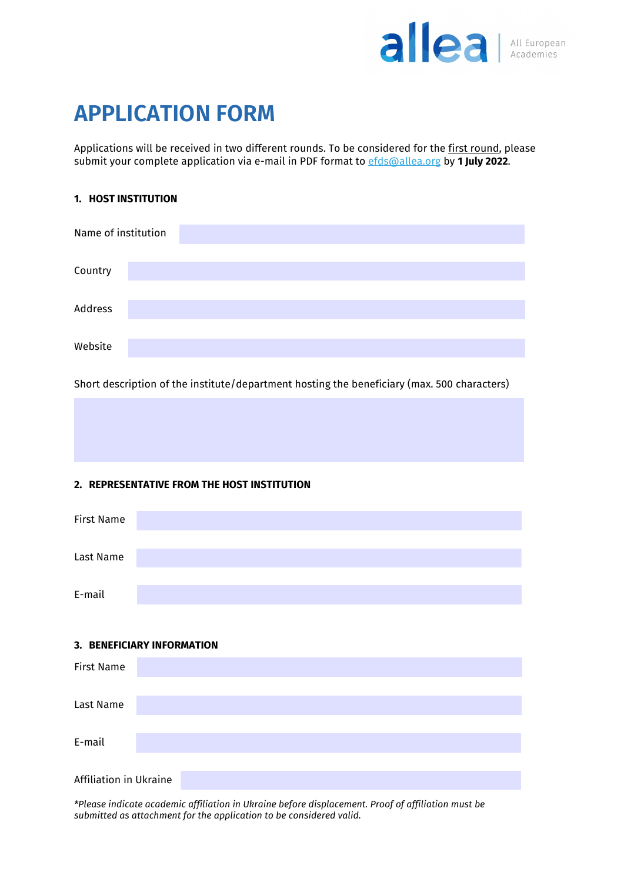

# **APPLICATION FORM**

Applications will be received in two different rounds. To be considered for the first round, please submit your complete application via e-mail in PDF format to [efds@allea.org](mailto:efds@allea.org) by **1 July 2022**.

#### **1. HOST INSTITUTION**

| Name of institution |  |  |  |  |  |
|---------------------|--|--|--|--|--|
| Country             |  |  |  |  |  |
| Address             |  |  |  |  |  |
| Website             |  |  |  |  |  |

Short description of the institute/department hosting the beneficiary (max. 500 characters)

#### **2. REPRESENTATIVE FROM THE HOST INSTITUTION**



#### **3. BENEFICIARY INFORMATION**

| <b>First Name</b>      |  |  |  |  |
|------------------------|--|--|--|--|
|                        |  |  |  |  |
| Last Name              |  |  |  |  |
|                        |  |  |  |  |
| E-mail                 |  |  |  |  |
|                        |  |  |  |  |
| Affiliation in Ukraine |  |  |  |  |

*\*Please indicate academic affiliation in Ukraine before displacement. Proof of affiliation must be submitted as attachment for the application to be considered valid.*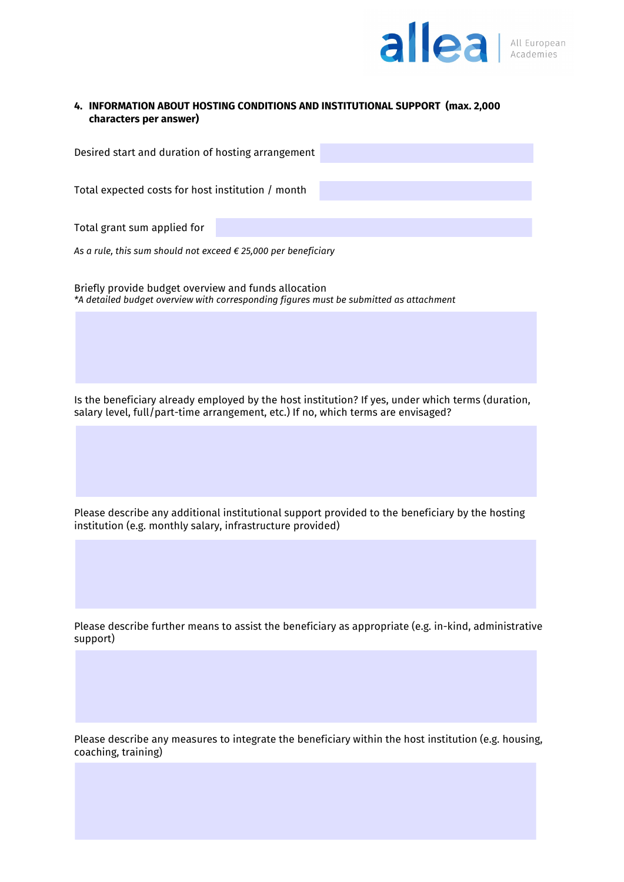

#### **4. INFORMATION ABOUT HOSTING CONDITIONS AND INSTITUTIONAL SUPPORT (max. 2,000 characters per answer)**

| Desired start and duration of hosting arrangement |  |
|---------------------------------------------------|--|
|                                                   |  |
| Total expected costs for host institution / month |  |
|                                                   |  |
| Total grant sum applied for                       |  |

*As a rule, this sum should not exceed € 25,000 per beneficiary*

Briefly provide budget overview and funds allocation *\*A detailed budget overview with corresponding figures must be submitted as attachment*

Is the beneficiary already employed by the host institution? If yes, under which terms (duration, salary level, full/part-time arrangement, etc.) If no, which terms are envisaged?

Please describe any additional institutional support provided to the beneficiary by the hosting institution (e.g. monthly salary, infrastructure provided)

Please describe further means to assist the beneficiary as appropriate (e.g. in-kind, administrative support)

Please describe any measures to integrate the beneficiary within the host institution (e.g. housing, coaching, training)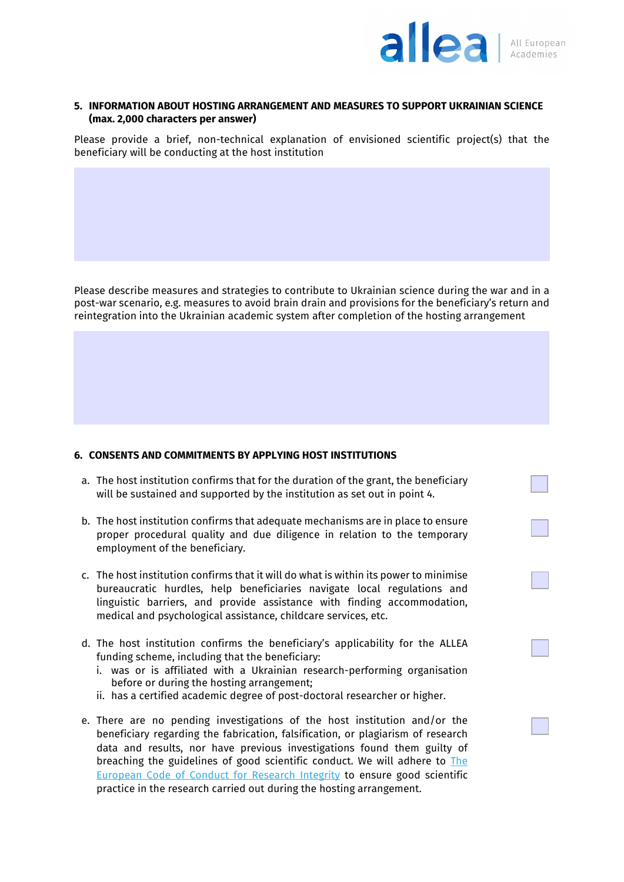

#### **5. INFORMATION ABOUT HOSTING ARRANGEMENT AND MEASURES TO SUPPORT UKRAINIAN SCIENCE (max. 2,000 characters per answer)**

Please provide a brief, non-technical explanation of envisioned scientific project(s) that the beneficiary will be conducting at the host institution

Please describe measures and strategies to contribute to Ukrainian science during the war and in a post-war scenario, e.g. measures to avoid brain drain and provisions for the beneficiary's return and reintegration into the Ukrainian academic system after completion of the hosting arrangement

#### **6. CONSENTS AND COMMITMENTS BY APPLYING HOST INSTITUTIONS**

- a. The host institution confirms that for the duration of the grant, the beneficiary will be sustained and supported by the institution as set out in point 4.
- b. The host institution confirms that adequate mechanisms are in place to ensure proper procedural quality and due diligence in relation to the temporary employment of the beneficiary.
- c. The host institution confirms that it will do what is within its power to minimise bureaucratic hurdles, help beneficiaries navigate local regulations and linguistic barriers, and provide assistance with finding accommodation, medical and psychological assistance, childcare services, etc.
- d. The host institution confirms the beneficiary's applicability for the ALLEA funding scheme, including that the beneficiary:
	- i. was or is affiliated with a Ukrainian research-performing organisation before or during the hosting arrangement;
	- ii. has a certified academic degree of post-doctoral researcher or higher.
- e. There are no pending investigations of the host institution and/or the beneficiary regarding the fabrication, falsification, or plagiarism of research data and results, nor have previous investigations found them guilty of breaching the guidelines of good scientific conduct. We will adhere to The [European Code of Conduct for Research Integrity](https://allea.org/code-of-conduct) to ensure good scientific practice in the research carried out during the hosting arrangement.